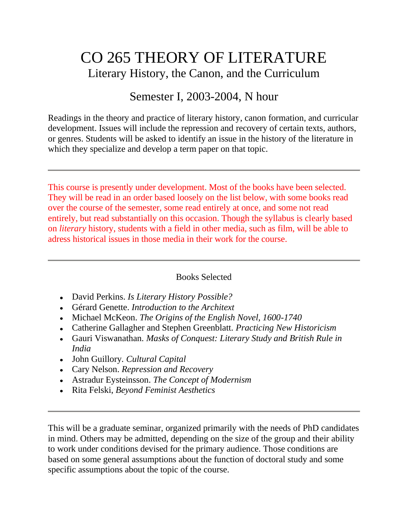## CO 265 THEORY OF LITERATURE Literary History, the Canon, and the Curriculum

## Semester I, 2003-2004, N hour

Readings in the theory and practice of literary history, canon formation, and curricular development. Issues will include the repression and recovery of certain texts, authors, or genres. Students will be asked to identify an issue in the history of the literature in which they specialize and develop a term paper on that topic.

This course is presently under development. Most of the books have been selected. They will be read in an order based loosely on the list below, with some books read over the course of the semester, some read entirely at once, and some not read entirely, but read substantially on this occasion. Though the syllabus is clearly based on *literary* history, students with a field in other media, such as film, will be able to adress historical issues in those media in their work for the course.

## Books Selected

- David Perkins. *Is Literary History Possible?*
- Gérard Genette. *Introduction to the Architext*
- Michael McKeon. *The Origins of the English Novel, 1600-1740*
- Catherine Gallagher and Stephen Greenblatt. *Practicing New Historicism*
- Gauri Viswanathan. *Masks of Conquest: Literary Study and British Rule in India*
- John Guillory*. Cultural Capital*
- Cary Nelson. *Repression and Recovery*
- Astradur Eysteinsson. *The Concept of Modernism*
- Rita Felski, *Beyond Feminist Aesthetics*

This will be a graduate seminar, organized primarily with the needs of PhD candidates in mind. Others may be admitted, depending on the size of the group and their ability to work under conditions devised for the primary audience. Those conditions are based on some general assumptions about the function of doctoral study and some specific assumptions about the topic of the course.